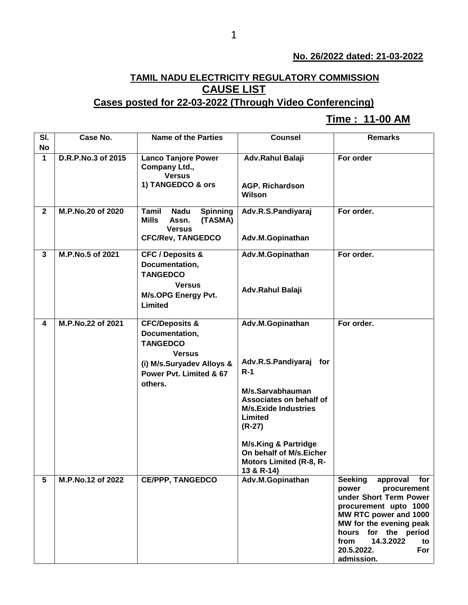## **No. 26/2022 dated: 21-03-2022**

## **TAMIL NADU ELECTRICITY REGULATORY COMMISSION CAUSE LIST**

## **Cases posted for 22-03-2022 (Through Video Conferencing)**

## **Time : 11-00 AM[**

| SI.                     | Case No.           | <b>Name of the Parties</b>                                                                   | <b>Counsel</b>                                                                                             | <b>Remarks</b>                                                                                                                                                                                                                                      |
|-------------------------|--------------------|----------------------------------------------------------------------------------------------|------------------------------------------------------------------------------------------------------------|-----------------------------------------------------------------------------------------------------------------------------------------------------------------------------------------------------------------------------------------------------|
| <b>No</b>               |                    |                                                                                              |                                                                                                            |                                                                                                                                                                                                                                                     |
| $\mathbf{1}$            | D.R.P.No.3 of 2015 | <b>Lanco Tanjore Power</b><br>Company Ltd.,<br><b>Versus</b>                                 | Adv.Rahul Balaji                                                                                           | For order                                                                                                                                                                                                                                           |
|                         |                    | 1) TANGEDCO & ors                                                                            | <b>AGP. Richardson</b><br>Wilson                                                                           |                                                                                                                                                                                                                                                     |
| $\overline{2}$          | M.P.No.20 of 2020  | Tamil<br><b>Spinning</b><br><b>Nadu</b><br><b>Mills</b><br>Assn.<br>(TASMA)<br><b>Versus</b> | Adv.R.S.Pandiyaraj                                                                                         | For order.                                                                                                                                                                                                                                          |
|                         |                    | <b>CFC/Rev, TANGEDCO</b>                                                                     | Adv.M.Gopinathan                                                                                           |                                                                                                                                                                                                                                                     |
| $\overline{\mathbf{3}}$ | M.P.No.5 of 2021   | <b>CFC / Deposits &amp;</b><br>Documentation,                                                | Adv.M.Gopinathan                                                                                           | For order.                                                                                                                                                                                                                                          |
|                         |                    | <b>TANGEDCO</b><br><b>Versus</b><br>M/s.OPG Energy Pvt.<br>Limited                           | Adv.Rahul Balaji                                                                                           |                                                                                                                                                                                                                                                     |
| 4                       | M.P.No.22 of 2021  | <b>CFC/Deposits &amp;</b><br>Documentation,<br><b>TANGEDCO</b><br><b>Versus</b>              | Adv.M.Gopinathan                                                                                           | For order.                                                                                                                                                                                                                                          |
|                         |                    | (i) M/s.Suryadev Alloys &<br>Power Pvt. Limited & 67                                         | Adv.R.S.Pandiyaraj for<br>$R-1$                                                                            |                                                                                                                                                                                                                                                     |
|                         |                    | others.                                                                                      | M/s.Sarvabhauman<br>Associates on behalf of<br><b>M/s.Exide Industries</b><br>Limited<br>$(R-27)$          |                                                                                                                                                                                                                                                     |
|                         |                    |                                                                                              | <b>M/s.King &amp; Partridge</b><br>On behalf of M/s.Eicher<br><b>Motors Limited (R-8, R-</b><br>13 & R-14) |                                                                                                                                                                                                                                                     |
| 5                       | M.P.No.12 of 2022  | <b>CE/PPP, TANGEDCO</b>                                                                      | Adv.M.Gopinathan                                                                                           | approval for<br><b>Seeking</b><br>power<br>procurement<br>under Short Term Power<br>procurement upto 1000<br>MW RTC power and 1000<br>MW for the evening peak<br>hours for the period<br>14.3.2022<br>from<br>to<br>20.5.2022.<br>For<br>admission. |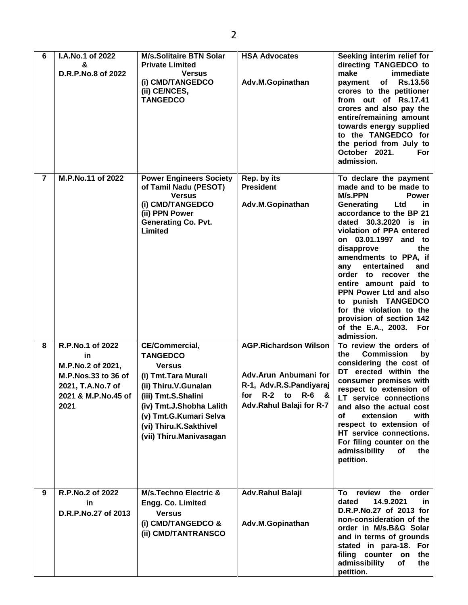| 6              | I.A.No.1 of 2022<br>&<br>D.R.P.No.8 of 2022                                                                            | <b>M/s.Solitaire BTN Solar</b><br><b>Private Limited</b><br><b>Versus</b><br>(i) CMD/TANGEDCO<br>(ii) CE/NCES,<br><b>TANGEDCO</b>                                                                                                           | <b>HSA Advocates</b><br>Adv.M.Gopinathan                                                                                                                | Seeking interim relief for<br>directing TANGEDCO to<br>make<br>immediate<br><b>Rs.13.56</b><br>of<br>payment<br>crores to the petitioner<br>from out of Rs.17.41<br>crores and also pay the<br>entire/remaining amount<br>towards energy supplied<br>to the TANGEDCO for<br>the period from July to<br>October 2021.<br>For<br>admission.                                                                                                                                                          |
|----------------|------------------------------------------------------------------------------------------------------------------------|---------------------------------------------------------------------------------------------------------------------------------------------------------------------------------------------------------------------------------------------|---------------------------------------------------------------------------------------------------------------------------------------------------------|----------------------------------------------------------------------------------------------------------------------------------------------------------------------------------------------------------------------------------------------------------------------------------------------------------------------------------------------------------------------------------------------------------------------------------------------------------------------------------------------------|
| $\overline{7}$ | M.P.No.11 of 2022                                                                                                      | <b>Power Engineers Society</b><br>of Tamil Nadu (PESOT)<br><b>Versus</b><br>(i) CMD/TANGEDCO<br>(ii) PPN Power<br><b>Generating Co. Pvt.</b><br>Limited                                                                                     | Rep. by its<br><b>President</b><br>Adv.M.Gopinathan                                                                                                     | To declare the payment<br>made and to be made to<br><b>M/s.PPN</b><br><b>Power</b><br>Generating<br>Ltd<br>in.<br>accordance to the BP 21<br>dated 30.3.2020 is in<br>violation of PPA entered<br>on 03.01.1997 and to<br>the<br>disapprove<br>amendments to PPA, if<br>entertained<br>and<br>any<br>order to recover the<br>entire amount paid to<br>PPN Power Ltd and also<br>to punish TANGEDCO<br>for the violation to the<br>provision of section 142<br>of the E.A., 2003. For<br>admission. |
| 8              | R.P.No.1 of 2022<br>in<br>M.P.No.2 of 2021,<br>M.P.Nos.33 to 36 of<br>2021, T.A.No.7 of<br>2021 & M.P.No.45 of<br>2021 | <b>CE/Commercial,</b><br><b>TANGEDCO</b><br><b>Versus</b><br>(i) Tmt. Tara Murali<br>(ii) Thiru.V.Gunalan<br>(iii) Tmt.S.Shalini<br>(iv) Tmt.J.Shobha Lalith<br>(v) Tmt.G.Kumari Selva<br>(vi) Thiru.K.Sakthivel<br>(vii) Thiru.Manivasagan | <b>AGP.Richardson Wilson</b><br>Adv.Arun Anbumani for<br>R-1, Adv.R.S.Pandiyaraj<br>for<br>$R-2$<br>to<br><b>R-6</b><br>- &<br>Adv.Rahul Balaji for R-7 | To review the orders of<br>the<br><b>Commission</b><br>by<br>considering the cost of<br>DT erected within the<br>consumer premises with<br>respect to extension of<br>LT service connections<br>and also the actual cost<br>of<br>extension<br>with<br>respect to extension of<br>HT service connections.<br>For filing counter on the<br>admissibility<br>οf<br>the<br>petition.                                                                                                                  |
| 9              | R.P.No.2 of 2022<br>in.<br>D.R.P.No.27 of 2013                                                                         | <b>M/s.Techno Electric &amp;</b><br>Engg. Co. Limited<br><b>Versus</b><br>(i) CMD/TANGEDCO &<br>(ii) CMD/TANTRANSCO                                                                                                                         | Adv.Rahul Balaji<br>Adv.M.Gopinathan                                                                                                                    | review<br>the<br>order<br>To:<br>14.9.2021<br>dated<br>in.<br>D.R.P.No.27 of 2013 for<br>non-consideration of the<br>order in M/s.B&G Solar<br>and in terms of grounds<br>stated in para-18. For<br>filing counter on<br>the<br>admissibility<br>the<br>of<br>petition.                                                                                                                                                                                                                            |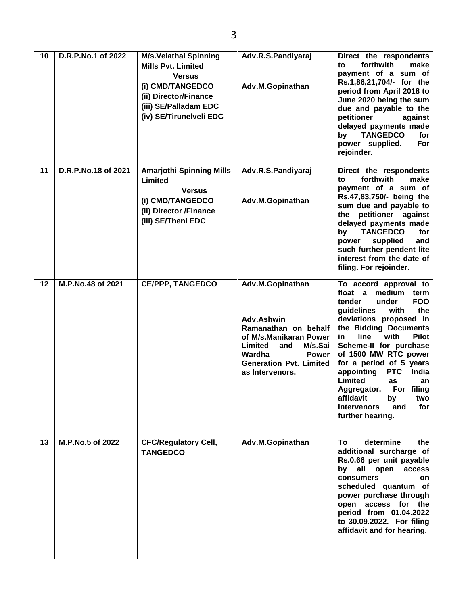| 10 | D.R.P.No.1 of 2022  | <b>M/s.Velathal Spinning</b><br><b>Mills Pvt. Limited</b><br><b>Versus</b><br>(i) CMD/TANGEDCO<br>(ii) Director/Finance<br>(iii) SE/Palladam EDC<br>(iv) SE/Tirunelveli EDC | Adv.R.S.Pandiyaraj<br>Adv.M.Gopinathan                                                                                                                                                       | Direct the respondents<br>forthwith<br>make<br>to<br>payment of a sum of<br>Rs.1,86,21,704/- for the<br>period from April 2018 to<br>June 2020 being the sum<br>due and payable to the<br>petitioner<br>against<br>delayed payments made<br><b>TANGEDCO</b><br>for<br>by<br>power supplied.<br>For<br>rejoinder.                                                                                                                                                |
|----|---------------------|-----------------------------------------------------------------------------------------------------------------------------------------------------------------------------|----------------------------------------------------------------------------------------------------------------------------------------------------------------------------------------------|-----------------------------------------------------------------------------------------------------------------------------------------------------------------------------------------------------------------------------------------------------------------------------------------------------------------------------------------------------------------------------------------------------------------------------------------------------------------|
| 11 | D.R.P.No.18 of 2021 | <b>Amarjothi Spinning Mills</b><br>Limited<br><b>Versus</b><br>(i) CMD/TANGEDCO<br>(ii) Director /Finance<br>(iii) SE/Theni EDC                                             | Adv.R.S.Pandiyaraj<br>Adv.M.Gopinathan                                                                                                                                                       | Direct the respondents<br>forthwith<br>make<br>to<br>payment of a sum of<br>Rs.47,83,750/- being the<br>sum due and payable to<br>petitioner against<br>the<br>delayed payments made<br><b>TANGEDCO</b><br>for<br>by<br>supplied<br>power<br>and<br>such further pendent lite<br>interest from the date of<br>filing. For rejoinder.                                                                                                                            |
| 12 | M.P.No.48 of 2021   | <b>CE/PPP, TANGEDCO</b>                                                                                                                                                     | Adv.M.Gopinathan<br>Adv.Ashwin<br>Ramanathan on behalf<br>of M/s.Manikaran Power<br>Limited<br>M/s.Sai<br>and<br>Wardha<br><b>Power</b><br><b>Generation Pvt. Limited</b><br>as Intervenors. | To accord approval to<br>float a medium<br>term<br>tender<br>under<br><b>FOO</b><br>guidelines<br>with<br>the<br>deviations proposed in<br>the Bidding Documents<br><b>Pilot</b><br>with<br>in.<br>line<br>Scheme-II for purchase<br>of 1500 MW RTC power<br>for a period of 5 years<br>appointing<br><b>PTC</b><br>India<br>Limited<br>as<br>an<br>For filing<br>Aggregator.<br>affidavit<br>by<br>two<br>for<br><b>Intervenors</b><br>and<br>further hearing. |
| 13 | M.P.No.5 of 2022    | <b>CFC/Regulatory Cell,</b><br><b>TANGEDCO</b>                                                                                                                              | Adv.M.Gopinathan                                                                                                                                                                             | determine<br>To<br>the<br>additional surcharge of<br>Rs.0.66 per unit payable<br>all open<br>by<br>access<br>consumers<br>on.<br>scheduled quantum of<br>power purchase through<br>open access for the<br>period from 01.04.2022<br>to 30.09.2022. For filing<br>affidavit and for hearing.                                                                                                                                                                     |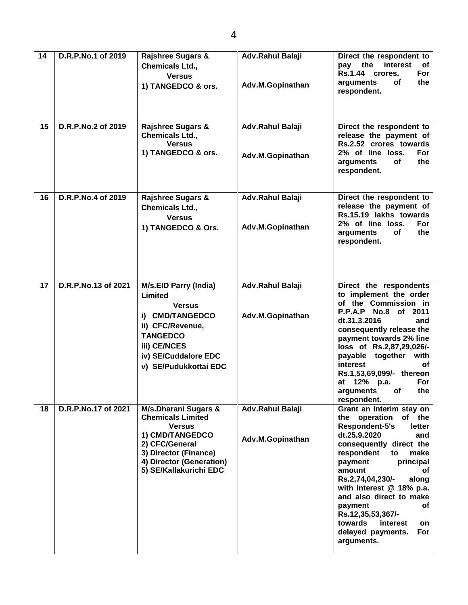| 14 | D.R.P.No.1 of 2019  | <b>Rajshree Sugars &amp;</b><br><b>Chemicals Ltd.,</b>                                                                                                                                | Adv.Rahul Balaji                     | Direct the respondent to<br>pay the<br>interest<br>оf                                                                                                                                                                                                                                                                                                                                                  |
|----|---------------------|---------------------------------------------------------------------------------------------------------------------------------------------------------------------------------------|--------------------------------------|--------------------------------------------------------------------------------------------------------------------------------------------------------------------------------------------------------------------------------------------------------------------------------------------------------------------------------------------------------------------------------------------------------|
|    |                     | <b>Versus</b><br>1) TANGEDCO & ors.                                                                                                                                                   | Adv.M.Gopinathan                     | Rs.1.44 crores.<br>For<br>of<br>the<br>arguments<br>respondent.                                                                                                                                                                                                                                                                                                                                        |
| 15 | D.R.P.No.2 of 2019  | Rajshree Sugars &<br><b>Chemicals Ltd.,</b><br><b>Versus</b><br>1) TANGEDCO & ors.                                                                                                    | Adv.Rahul Balaji<br>Adv.M.Gopinathan | Direct the respondent to<br>release the payment of<br>Rs.2.52 crores towards<br>2% of line loss.<br>For<br>the<br>arguments<br>οf<br>respondent.                                                                                                                                                                                                                                                       |
| 16 | D.R.P.No.4 of 2019  | <b>Rajshree Sugars &amp;</b><br>Chemicals Ltd.,<br><b>Versus</b><br>1) TANGEDCO & Ors.                                                                                                | Adv.Rahul Balaji<br>Adv.M.Gopinathan | Direct the respondent to<br>release the payment of<br>Rs.15.19 lakhs towards<br>2% of line loss.<br>For<br>the<br>arguments<br>of<br>respondent.                                                                                                                                                                                                                                                       |
| 17 | D.R.P.No.13 of 2021 | <b>M/s.EID Parry (India)</b><br>Limited<br><b>Versus</b><br>i) CMD/TANGEDCO<br>ii) CFC/Revenue,<br><b>TANGEDCO</b><br>iii) CE/NCES<br>iv) SE/Cuddalore EDC<br>v) SE/Pudukkottai EDC   | Adv.Rahul Balaji<br>Adv.M.Gopinathan | Direct the respondents<br>to implement the order<br>of the Commission in<br>P.P.A.P No.8 of 2011<br>dt.31.3.2016<br>and<br>consequently release the<br>payment towards 2% line<br>loss of Rs.2,87,29,026/-<br>payable together with<br>interest<br>οf<br>Rs.1,53,69,099/- thereon<br>For<br>at 12% p.a.<br>the<br>arguments<br><b>of</b><br>respondent.                                                |
| 18 | D.R.P.No.17 of 2021 | M/s.Dharani Sugars &<br><b>Chemicals Limited</b><br><b>Versus</b><br>1) CMD/TANGEDCO<br>2) CFC/General<br>3) Director (Finance)<br>4) Director (Generation)<br>5) SE/Kallakurichi EDC | Adv.Rahul Balaji<br>Adv.M.Gopinathan | Grant an interim stay on<br>the operation<br>of the<br>Respondent-5's<br>letter<br>dt.25.9.2020<br>and<br>consequently direct the<br>respondent<br>to<br>make<br>payment<br>principal<br>amount<br>οf<br>Rs.2,74,04,230/-<br>along<br>with interest @ 18% p.a.<br>and also direct to make<br>payment<br>οf<br>Rs.12,35,53,367/-<br>towards<br>interest<br>on<br>For<br>delayed payments.<br>arguments. |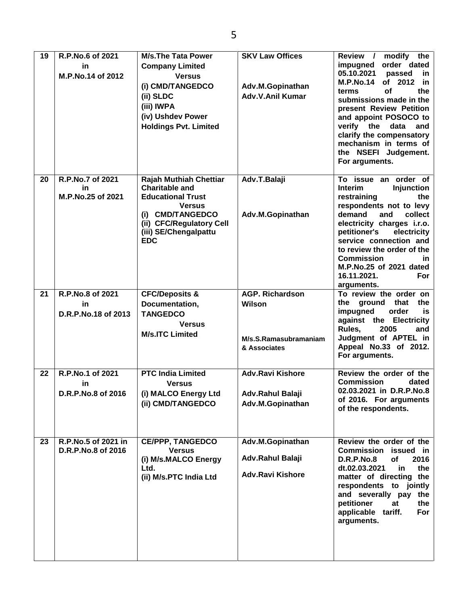| 19 | R.P.No.6 of 2021<br>in<br>M.P.No.14 of 2012 | <b>M/s.The Tata Power</b><br><b>Company Limited</b><br><b>Versus</b><br>(i) CMD/TANGEDCO<br>(ii) SLDC<br>(iii) IWPA<br>(iv) Ushdev Power<br><b>Holdings Pvt. Limited</b> | <b>SKV Law Offices</b><br>Adv.M.Gopinathan<br>Adv.V.Anil Kumar  | modify the<br>Review /<br>order dated<br>impugned<br>05.10.2021<br>passed<br>in.<br><b>M.P.No.14</b><br>of 2012<br>-in<br>οf<br>the<br>terms<br>submissions made in the<br>present Review Petition<br>and appoint POSOCO to<br>verify the<br>data<br>and<br>clarify the compensatory<br>mechanism in terms of<br>the NSEFI Judgement.<br>For arguments. |
|----|---------------------------------------------|--------------------------------------------------------------------------------------------------------------------------------------------------------------------------|-----------------------------------------------------------------|---------------------------------------------------------------------------------------------------------------------------------------------------------------------------------------------------------------------------------------------------------------------------------------------------------------------------------------------------------|
| 20 | R.P.No.7 of 2021<br>in<br>M.P.No.25 of 2021 | <b>Rajah Muthiah Chettiar</b><br><b>Charitable and</b><br><b>Educational Trust</b><br><b>Versus</b><br>(i) CMD/TANGEDCO<br>(ii) CFC/Regulatory Cell                      | Adv.T.Balaji<br>Adv.M.Gopinathan                                | To issue an order of<br><b>Injunction</b><br><b>Interim</b><br>restraining<br>the<br>respondents not to levy<br>demand<br>and<br>collect<br>electricity charges i.r.o.                                                                                                                                                                                  |
|    |                                             | (iii) SE/Chengalpattu<br><b>EDC</b>                                                                                                                                      |                                                                 | petitioner's<br>electricity<br>service connection and<br>to review the order of the<br><b>Commission</b><br>in.<br>M.P.No.25 of 2021 dated<br>16.11.2021.<br><b>For</b><br>arguments.                                                                                                                                                                   |
| 21 | R.P.No.8 of 2021<br>in                      | <b>CFC/Deposits &amp;</b><br>Documentation,                                                                                                                              | <b>AGP. Richardson</b><br><b>Wilson</b>                         | To review the order on<br>ground that<br>the<br>the                                                                                                                                                                                                                                                                                                     |
|    | D.R.P.No.18 of 2013                         | <b>TANGEDCO</b><br><b>Versus</b><br><b>M/s.ITC Limited</b>                                                                                                               | M/s.S.Ramasubramaniam<br>& Associates                           | impugned<br>order<br>is<br>against the Electricity<br>Rules,<br>2005<br>and<br>Judgment of APTEL in<br>Appeal No.33 of 2012.<br>For arguments.                                                                                                                                                                                                          |
| 22 | R.P.No.1 of 2021                            | <b>PTC India Limited</b>                                                                                                                                                 | <b>Adv.Ravi Kishore</b>                                         | Review the order of the                                                                                                                                                                                                                                                                                                                                 |
|    | in<br>D.R.P.No.8 of 2016                    | <b>Versus</b><br>(i) MALCO Energy Ltd<br>(ii) CMD/TANGEDCO                                                                                                               | Adv.Rahul Balaji<br>Adv.M.Gopinathan                            | <b>Commission</b><br>dated<br>02.03.2021 in D.R.P.No.8<br>of 2016. For arguments<br>of the respondents.                                                                                                                                                                                                                                                 |
| 23 | R.P.No.5 of 2021 in<br>D.R.P.No.8 of 2016   | <b>CE/PPP, TANGEDCO</b><br><b>Versus</b><br>(i) M/s.MALCO Energy<br>Ltd.<br>(ii) M/s.PTC India Ltd                                                                       | Adv.M.Gopinathan<br>Adv.Rahul Balaji<br><b>Adv.Ravi Kishore</b> | Review the order of the<br>Commission<br>issued in<br><b>D.R.P.No.8</b><br>of<br>2016<br>dt.02.03.2021<br>in<br>the<br>matter of directing the<br>respondents to jointly<br>and severally pay the<br>petitioner<br>at<br>the<br>applicable tariff.<br>For<br>arguments.                                                                                 |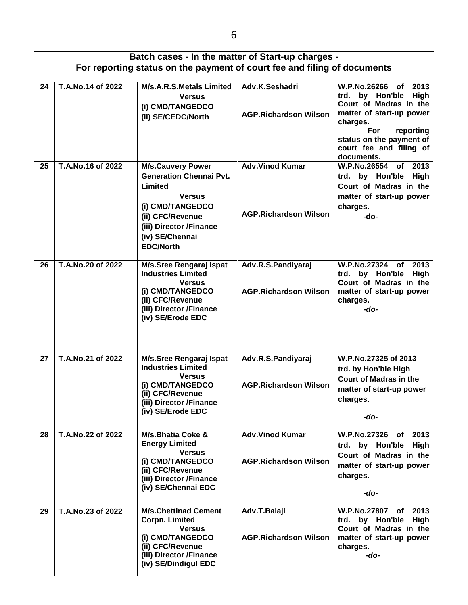|    | Batch cases - In the matter of Start-up charges - |                                                                                                                                                                      |                                                        |                                                                                                                                                                                                                                   |  |
|----|---------------------------------------------------|----------------------------------------------------------------------------------------------------------------------------------------------------------------------|--------------------------------------------------------|-----------------------------------------------------------------------------------------------------------------------------------------------------------------------------------------------------------------------------------|--|
|    |                                                   | For reporting status on the payment of court fee and filing of documents                                                                                             |                                                        |                                                                                                                                                                                                                                   |  |
| 24 | T.A.No.14 of 2022                                 | <b>M/s.A.R.S.Metals Limited</b><br><b>Versus</b><br>(i) CMD/TANGEDCO<br>(ii) SE/CEDC/North                                                                           | Adv.K.Seshadri<br><b>AGP.Richardson Wilson</b>         | W.P.No.26266<br>2013<br>of<br>by Hon'ble<br><b>High</b><br>trd.<br>Court of Madras in the<br>matter of start-up power<br>charges.<br><b>For</b><br>reporting<br>status on the payment of<br>court fee and filing of<br>documents. |  |
| 25 | T.A.No.16 of 2022                                 | <b>M/s.Cauvery Power</b>                                                                                                                                             | <b>Adv.Vinod Kumar</b>                                 | of 2013<br><b>W.P.No.26554</b>                                                                                                                                                                                                    |  |
|    |                                                   | <b>Generation Chennai Pvt.</b><br>Limited<br><b>Versus</b><br>(i) CMD/TANGEDCO<br>(ii) CFC/Revenue<br>(iii) Director /Finance<br>(iv) SE/Chennai<br><b>EDC/North</b> | <b>AGP.Richardson Wilson</b>                           | High<br>trd. by Hon'ble<br>Court of Madras in the<br>matter of start-up power<br>charges.<br>-do-                                                                                                                                 |  |
| 26 | T.A.No.20 of 2022                                 | M/s.Sree Rengaraj Ispat<br><b>Industries Limited</b><br><b>Versus</b><br>(i) CMD/TANGEDCO<br>(ii) CFC/Revenue<br>(iii) Director /Finance<br>(iv) SE/Erode EDC        | Adv.R.S.Pandiyaraj<br><b>AGP.Richardson Wilson</b>     | W.P.No.27324 of<br>2013<br>by Hon'ble<br>trd.<br>High<br>Court of Madras in the<br>matter of start-up power<br>charges.<br>-do-                                                                                                   |  |
| 27 | T.A.No.21 of 2022                                 | M/s.Sree Rengaraj Ispat<br><b>Industries Limited</b><br><b>Versus</b><br>(i) CMD/TANGEDCO<br>(ii) CFC/Revenue                                                        | Adv.R.S.Pandiyaraj<br><b>AGP.Richardson Wilson</b>     | W.P.No.27325 of 2013<br>trd. by Hon'ble High<br><b>Court of Madras in the</b><br>matter of start-up power                                                                                                                         |  |
|    |                                                   | (iii) Director /Finance<br>(iv) SE/Erode EDC                                                                                                                         |                                                        | charges.<br>-do-                                                                                                                                                                                                                  |  |
| 28 | T.A.No.22 of 2022                                 | M/s.Bhatia Coke &<br><b>Energy Limited</b><br><b>Versus</b><br>(i) CMD/TANGEDCO<br>(ii) CFC/Revenue<br>(iii) Director /Finance<br>(iv) SE/Chennai EDC                | <b>Adv.Vinod Kumar</b><br><b>AGP.Richardson Wilson</b> | W.P.No.27326 of<br>2013<br>trd. by Hon'ble High<br>Court of Madras in the<br>matter of start-up power<br>charges.<br>-do-                                                                                                         |  |
| 29 | T.A.No.23 of 2022                                 | M/s.Chettinad Cement<br><b>Corpn. Limited</b><br><b>Versus</b><br>(i) CMD/TANGEDCO<br>(ii) CFC/Revenue<br>(iii) Director /Finance<br>(iv) SE/Dindigul EDC            | Adv.T.Balaji<br><b>AGP.Richardson Wilson</b>           | W.P.No.27807 of<br>2013<br>High<br>trd. by Hon'ble<br>Court of Madras in the<br>matter of start-up power<br>charges.<br>-do-                                                                                                      |  |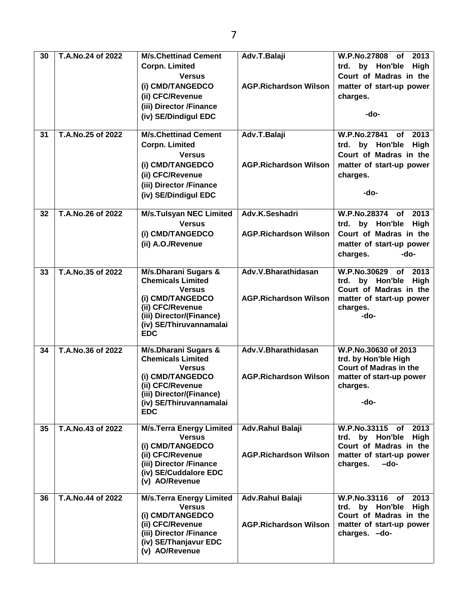| 30 | T.A.No.24 of 2022 | <b>M/s.Chettinad Cement</b><br><b>Corpn. Limited</b>                                                                                                                           | Adv.T.Balaji                                        | <b>W.P.No.27808</b><br>2013<br>of .<br>trd. by Hon'ble<br>High                                                                                   |
|----|-------------------|--------------------------------------------------------------------------------------------------------------------------------------------------------------------------------|-----------------------------------------------------|--------------------------------------------------------------------------------------------------------------------------------------------------|
|    |                   | <b>Versus</b><br>(i) CMD/TANGEDCO<br>(ii) CFC/Revenue<br>(iii) Director /Finance<br>(iv) SE/Dindigul EDC                                                                       | <b>AGP.Richardson Wilson</b>                        | Court of Madras in the<br>matter of start-up power<br>charges.<br>-do-                                                                           |
| 31 | T.A.No.25 of 2022 | <b>M/s.Chettinad Cement</b><br><b>Corpn. Limited</b><br><b>Versus</b><br>(i) CMD/TANGEDCO<br>(ii) CFC/Revenue<br>(iii) Director /Finance<br>(iv) SE/Dindigul EDC               | Adv.T.Balaji<br><b>AGP.Richardson Wilson</b>        | <b>W.P.No.27841</b><br>2013<br>οf<br>by Hon'ble<br><b>High</b><br>trd.<br>Court of Madras in the<br>matter of start-up power<br>charges.<br>-do- |
| 32 | T.A.No.26 of 2022 | <b>M/s.Tulsyan NEC Limited</b><br><b>Versus</b><br>(i) CMD/TANGEDCO<br>(ii) A.O./Revenue                                                                                       | Adv.K.Seshadri<br><b>AGP.Richardson Wilson</b>      | <b>W.P.No.28374</b><br>2013<br>of<br>trd. by Hon'ble<br>High<br>Court of Madras in the<br>matter of start-up power<br>charges.<br>-do-           |
| 33 | T.A.No.35 of 2022 | M/s.Dharani Sugars &<br><b>Chemicals Limited</b><br><b>Versus</b><br>(i) CMD/TANGEDCO<br>(ii) CFC/Revenue<br>(iii) Director/(Finance)<br>(iv) SE/Thiruvannamalai<br><b>EDC</b> | Adv.V.Bharathidasan<br><b>AGP.Richardson Wilson</b> | W.P.No.30629<br>2013<br>of<br>trd. by Hon'ble<br><b>High</b><br>Court of Madras in the<br>matter of start-up power<br>charges.<br>-do-           |
| 34 | T.A.No.36 of 2022 | M/s.Dharani Sugars &<br><b>Chemicals Limited</b><br><b>Versus</b><br>(i) CMD/TANGEDCO<br>(ii) CFC/Revenue<br>(iii) Director/(Finance)<br>(iv) SE/Thiruvannamalai<br><b>EDC</b> | Adv.V.Bharathidasan<br><b>AGP.Richardson Wilson</b> | W.P.No.30630 of 2013<br>trd. by Hon'ble High<br><b>Court of Madras in the</b><br>matter of start-up power<br>charges.<br>-do-                    |
| 35 | T.A.No.43 of 2022 | <b>M/s.Terra Energy Limited</b><br><b>Versus</b><br>(i) CMD/TANGEDCO<br>(ii) CFC/Revenue<br>(iii) Director /Finance<br>(iv) SE/Cuddalore EDC<br>(v) AO/Revenue                 | Adv.Rahul Balaji<br><b>AGP.Richardson Wilson</b>    | W.P.No.33115 of<br>2013<br>trd. by Hon'ble<br>High<br>Court of Madras in the<br>matter of start-up power<br>charges.<br>-do-                     |
| 36 | T.A.No.44 of 2022 | <b>M/s.Terra Energy Limited</b><br><b>Versus</b><br>(i) CMD/TANGEDCO<br>(ii) CFC/Revenue<br>(iii) Director /Finance<br>(iv) SE/Thanjavur EDC<br>(v) AO/Revenue                 | Adv.Rahul Balaji<br><b>AGP.Richardson Wilson</b>    | W.P.No.33116 of<br>2013<br>trd. by Hon'ble<br>High<br>Court of Madras in the<br>matter of start-up power<br>charges. - do-                       |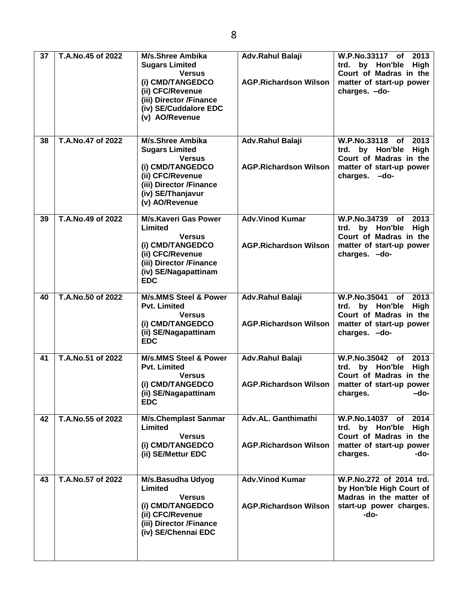| 37 | T.A.No.45 of 2022   | M/s.Shree Ambika<br><b>Sugars Limited</b><br><b>Versus</b><br>(i) CMD/TANGEDCO<br>(ii) CFC/Revenue<br>(iii) Director /Finance<br>(iv) SE/Cuddalore EDC<br>(v) AO/Revenue | <b>Adv.Rahul Balaji</b><br><b>AGP.Richardson Wilson</b> | W.P.No.33117 of<br>2013<br>trd. by Hon'ble<br>High<br>Court of Madras in the<br>matter of start-up power<br>charges. - do-           |
|----|---------------------|--------------------------------------------------------------------------------------------------------------------------------------------------------------------------|---------------------------------------------------------|--------------------------------------------------------------------------------------------------------------------------------------|
| 38 | T.A.No.47 of 2022   | M/s.Shree Ambika<br><b>Sugars Limited</b><br><b>Versus</b><br>(i) CMD/TANGEDCO<br>(ii) CFC/Revenue<br>(iii) Director /Finance<br>(iv) SE/Thanjavur<br>(v) AO/Revenue     | Adv.Rahul Balaji<br><b>AGP.Richardson Wilson</b>        | W.P.No.33118<br>2013<br>of<br>trd. by Hon'ble<br><b>High</b><br>Court of Madras in the<br>matter of start-up power<br>charges. - do- |
| 39 | T.A. No. 49 of 2022 | <b>M/s.Kaveri Gas Power</b><br>Limited<br><b>Versus</b><br>(i) CMD/TANGEDCO<br>(ii) CFC/Revenue<br>(iii) Director /Finance<br>(iv) SE/Nagapattinam<br><b>EDC</b>         | <b>Adv.Vinod Kumar</b><br><b>AGP.Richardson Wilson</b>  | W.P.No.34739<br>2013<br>of<br>trd. by Hon'ble<br><b>High</b><br>Court of Madras in the<br>matter of start-up power<br>charges. - do- |
| 40 | T.A.No.50 of 2022   | <b>M/s.MMS Steel &amp; Power</b><br><b>Pvt. Limited</b><br><b>Versus</b><br>(i) CMD/TANGEDCO<br>(ii) SE/Nagapattinam<br><b>EDC</b>                                       | Adv.Rahul Balaji<br><b>AGP.Richardson Wilson</b>        | W.P.No.35041<br>2013<br>of<br>trd. by Hon'ble<br><b>High</b><br>Court of Madras in the<br>matter of start-up power<br>charges. - do- |
| 41 | T.A.No.51 of 2022   | <b>M/s.MMS Steel &amp; Power</b><br><b>Pvt. Limited</b><br><b>Versus</b><br>(i) CMD/TANGEDCO<br>(ii) SE/Nagapattinam<br><b>EDC</b>                                       | Adv.Rahul Balaji<br><b>AGP.Richardson Wilson</b>        | W.P.No.35042 of<br>2013<br>trd. by Hon'ble<br>High<br>Court of Madras in the<br>matter of start-up power<br>charges.<br>-do-         |
| 42 | T.A.No.55 of 2022   | <b>M/s.Chemplast Sanmar</b><br>Limited<br><b>Versus</b><br>(i) CMD/TANGEDCO<br>(ii) SE/Mettur EDC                                                                        | Adv.AL. Ganthimathi<br><b>AGP.Richardson Wilson</b>     | W.P.No.14037 of 2014<br>trd. by Hon'ble<br>High<br>Court of Madras in the<br>matter of start-up power<br>charges.<br>-do-            |
| 43 | T.A.No.57 of 2022   | M/s.Basudha Udyog<br>Limited<br><b>Versus</b><br>(i) CMD/TANGEDCO<br>(ii) CFC/Revenue<br>(iii) Director /Finance<br>(iv) SE/Chennai EDC                                  | <b>Adv.Vinod Kumar</b><br><b>AGP.Richardson Wilson</b>  | W.P.No.272 of 2014 trd.<br>by Hon'ble High Court of<br>Madras in the matter of<br>start-up power charges.<br>-do-                    |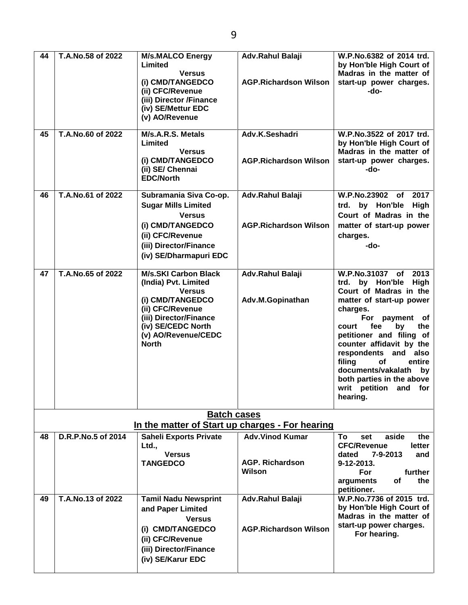**44 T.A.No.58 of 2022 M/s.MALCO Energy Limited Versus (i) CMD/TANGEDCO (ii) CFC/Revenue (iii) Director /Finance (iv) SE/Mettur EDC (v) AO/Revenue Adv.Rahul Balaji AGP.Richardson Wilson Adv.K.Seshadri Adv.Rahul Balaji**

| 45 | T.A.No.60 of 2022  | M/s.A.R.S. Metals<br>Limited<br><b>Versus</b><br>(i) CMD/TANGEDCO<br>(ii) SE/ Chennai<br><b>EDC/North</b>                                                                                           | Adv.K.Seshadri<br><b>AGP.Richardson Wilson</b>             | W.P.No.3522 of 2017 trd.<br>by Hon'ble High Court of<br>Madras in the matter of<br>start-up power charges.<br>-do-                                                                                                                                                                                                                                                           |
|----|--------------------|-----------------------------------------------------------------------------------------------------------------------------------------------------------------------------------------------------|------------------------------------------------------------|------------------------------------------------------------------------------------------------------------------------------------------------------------------------------------------------------------------------------------------------------------------------------------------------------------------------------------------------------------------------------|
| 46 | T.A.No.61 of 2022  | Subramania Siva Co-op.<br><b>Sugar Mills Limited</b><br><b>Versus</b><br>(i) CMD/TANGEDCO<br>(ii) CFC/Revenue<br>(iii) Director/Finance<br>(iv) SE/Dharmapuri EDC                                   | Adv.Rahul Balaji<br><b>AGP.Richardson Wilson</b>           | W.P.No.23902 of<br>2017<br>trd. by Hon'ble<br>High<br>Court of Madras in the<br>matter of start-up power<br>charges.<br>-do-                                                                                                                                                                                                                                                 |
| 47 | T.A.No.65 of 2022  | <b>M/s.SKI Carbon Black</b><br>(India) Pvt. Limited<br><b>Versus</b><br>(i) CMD/TANGEDCO<br>(ii) CFC/Revenue<br>(iii) Director/Finance<br>(iv) SE/CEDC North<br>(v) AO/Revenue/CEDC<br><b>North</b> | Adv.Rahul Balaji<br>Adv.M.Gopinathan                       | W.P.No.31037 of 2013<br>trd. by Hon'ble High<br>Court of Madras in the<br>matter of start-up power<br>charges.<br>For payment of<br>fee<br>court<br>by<br>the<br>petitioner and filing of<br>counter affidavit by the<br>respondents and also<br>filing<br>entire<br><b>of</b><br>documents/vakalath<br>by<br>both parties in the above<br>writ petition and for<br>hearing. |
|    |                    | <b>Batch cases</b><br>In the matter of Start up charges - For hearing                                                                                                                               |                                                            |                                                                                                                                                                                                                                                                                                                                                                              |
| 48 | D.R.P.No.5 of 2014 | <b>Saheli Exports Private</b><br>Ltd.,<br><b>Versus</b><br><b>TANGEDCO</b>                                                                                                                          | <b>Adv.Vinod Kumar</b><br><b>AGP. Richardson</b><br>Wilson | the<br>To<br>aside<br>set<br><b>CFC/Revenue</b><br>letter<br>$7 - 9 - 2013$<br>and<br>dated<br>9-12-2013.<br>For<br>further<br>arguments<br>the<br>of<br>petitioner.                                                                                                                                                                                                         |
| 49 | T.A.No.13 of 2022  | <b>Tamil Nadu Newsprint</b><br>and Paper Limited<br><b>Versus</b><br>(i) CMD/TANGEDCO<br>(ii) CFC/Revenue<br>(iii) Director/Finance<br>(iv) SE/Karur EDC                                            | Adv.Rahul Balaji<br><b>AGP.Richardson Wilson</b>           | W.P.No.7736 of 2015 trd.<br>by Hon'ble High Court of<br>Madras in the matter of<br>start-up power charges.<br>For hearing.                                                                                                                                                                                                                                                   |

**W.P.No.6382 of 2014 trd. by Hon'ble High Court of Madras in the matter of start-up power charges. -do-**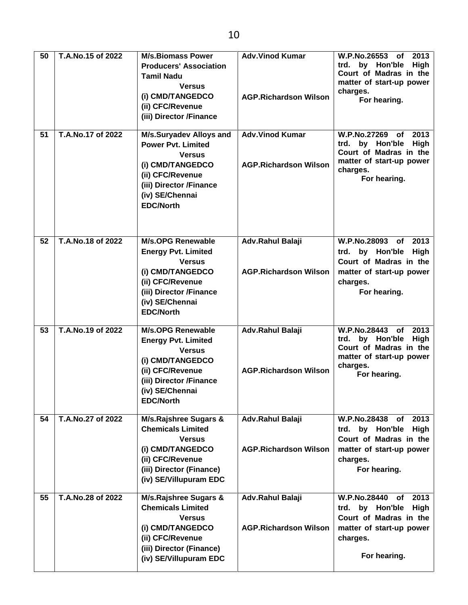| 50<br>51 | T.A.No.15 of 2022<br>T.A.No.17 of 2022 | <b>M/s.Biomass Power</b><br><b>Producers' Association</b><br><b>Tamil Nadu</b><br><b>Versus</b><br>(i) CMD/TANGEDCO<br>(ii) CFC/Revenue<br>(iii) Director /Finance<br>M/s.Suryadev Alloys and | <b>Adv.Vinod Kumar</b><br><b>AGP.Richardson Wilson</b><br><b>Adv.Vinod Kumar</b> | W.P.No.26553 of<br>2013<br>trd. by Hon'ble<br>High<br>Court of Madras in the<br>matter of start-up power<br>charges.<br>For hearing.<br>W.P.No.27269 of<br>2013 |
|----------|----------------------------------------|-----------------------------------------------------------------------------------------------------------------------------------------------------------------------------------------------|----------------------------------------------------------------------------------|-----------------------------------------------------------------------------------------------------------------------------------------------------------------|
|          |                                        | <b>Power Pvt. Limited</b><br><b>Versus</b><br>(i) CMD/TANGEDCO<br>(ii) CFC/Revenue<br>(iii) Director /Finance<br>(iv) SE/Chennai<br><b>EDC/North</b>                                          | <b>AGP.Richardson Wilson</b>                                                     | by Hon'ble<br>High<br>trd.<br>Court of Madras in the<br>matter of start-up power<br>charges.<br>For hearing.                                                    |
| 52       | T.A.No.18 of 2022                      | <b>M/s.OPG Renewable</b><br><b>Energy Pvt. Limited</b><br><b>Versus</b><br>(i) CMD/TANGEDCO<br>(ii) CFC/Revenue<br>(iii) Director /Finance<br>(iv) SE/Chennai<br><b>EDC/North</b>             | Adv.Rahul Balaji<br><b>AGP.Richardson Wilson</b>                                 | W.P.No.28093 of<br>2013<br>trd. by Hon'ble High<br>Court of Madras in the<br>matter of start-up power<br>charges.<br>For hearing.                               |
| 53       | T.A.No.19 of 2022                      | <b>M/s.OPG Renewable</b><br><b>Energy Pvt. Limited</b><br><b>Versus</b><br>(i) CMD/TANGEDCO<br>(ii) CFC/Revenue<br>(iii) Director /Finance<br>(iv) SE/Chennai<br><b>EDC/North</b>             | Adv.Rahul Balaji<br><b>AGP.Richardson Wilson</b>                                 | W.P.No.28443 of 2013<br>trd. by Hon'ble<br>High<br>Court of Madras in the<br>matter of start-up power<br>charges.<br>For hearing.                               |
| 54       | T.A.No.27 of 2022                      | <b>M/s.Rajshree Sugars &amp;</b><br><b>Chemicals Limited</b><br><b>Versus</b><br>(i) CMD/TANGEDCO<br>(ii) CFC/Revenue<br>(iii) Director (Finance)<br>(iv) SE/Villupuram EDC                   | Adv.Rahul Balaji<br><b>AGP.Richardson Wilson</b>                                 | W.P.No.28438 of<br>2013<br>trd. by Hon'ble<br>High<br>Court of Madras in the<br>matter of start-up power<br>charges.<br>For hearing.                            |
| 55       | T.A.No.28 of 2022                      | M/s.Rajshree Sugars &<br><b>Chemicals Limited</b><br><b>Versus</b><br>(i) CMD/TANGEDCO<br>(ii) CFC/Revenue<br>(iii) Director (Finance)<br>(iv) SE/Villupuram EDC                              | Adv.Rahul Balaji<br><b>AGP.Richardson Wilson</b>                                 | <b>W.P.No.28440</b><br>2013<br>of<br>trd. by Hon'ble High<br>Court of Madras in the<br>matter of start-up power<br>charges.<br>For hearing.                     |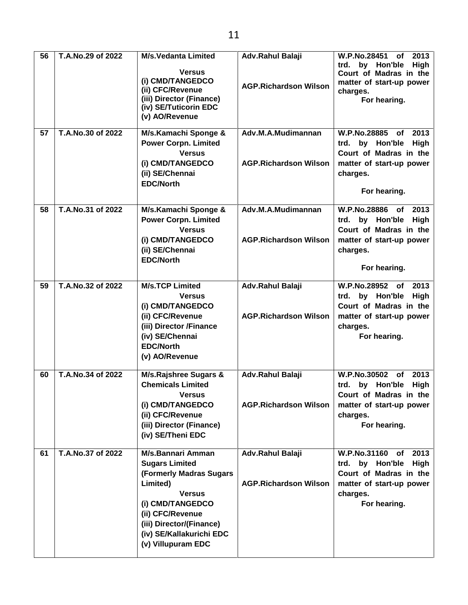| 56 | T.A.No.29 of 2022 | <b>M/s.Vedanta Limited</b><br><b>Versus</b><br>(i) CMD/TANGEDCO<br>(ii) CFC/Revenue<br>(iii) Director (Finance)<br>(iv) SE/Tuticorin EDC<br>(v) AO/Revenue                                                               | Adv.Rahul Balaji<br><b>AGP.Richardson Wilson</b>   | W.P.No.28451 of<br>2013<br>trd. by Hon'ble<br><b>High</b><br>Court of Madras in the<br>matter of start-up power<br>charges.<br>For hearing.    |
|----|-------------------|--------------------------------------------------------------------------------------------------------------------------------------------------------------------------------------------------------------------------|----------------------------------------------------|------------------------------------------------------------------------------------------------------------------------------------------------|
| 57 | T.A.No.30 of 2022 | M/s.Kamachi Sponge &<br><b>Power Corpn. Limited</b><br><b>Versus</b><br>(i) CMD/TANGEDCO<br>(ii) SE/Chennai<br><b>EDC/North</b>                                                                                          | Adv.M.A.Mudimannan<br><b>AGP.Richardson Wilson</b> | W.P.No.28885 of<br>2013<br>trd. by Hon'ble<br><b>High</b><br>Court of Madras in the<br>matter of start-up power<br>charges.<br>For hearing.    |
| 58 | T.A.No.31 of 2022 | M/s.Kamachi Sponge &<br><b>Power Corpn. Limited</b><br><b>Versus</b><br>(i) CMD/TANGEDCO<br>(ii) SE/Chennai<br><b>EDC/North</b>                                                                                          | Adv.M.A.Mudimannan<br><b>AGP.Richardson Wilson</b> | W.P.No.28886 of<br>2013<br>trd. by Hon'ble<br>High<br>Court of Madras in the<br>matter of start-up power<br>charges.<br>For hearing.           |
| 59 | T.A.No.32 of 2022 | <b>M/s.TCP Limited</b><br><b>Versus</b><br>(i) CMD/TANGEDCO<br>(ii) CFC/Revenue<br>(iii) Director /Finance<br>(iv) SE/Chennai<br><b>EDC/North</b><br>(v) AO/Revenue                                                      | Adv.Rahul Balaji<br><b>AGP.Richardson Wilson</b>   | W.P.No.28952 of<br>2013<br>by Hon'ble<br>High<br>trd.<br>Court of Madras in the<br>matter of start-up power<br>charges.<br>For hearing.        |
| 60 | T.A.No.34 of 2022 | M/s.Rajshree Sugars &<br><b>Chemicals Limited</b><br><b>Versus</b><br>(i) CMD/TANGEDCO<br>(ii) CFC/Revenue<br>(iii) Director (Finance)<br>(iv) SE/Theni EDC                                                              | Adv.Rahul Balaji<br><b>AGP.Richardson Wilson</b>   | W.P.No.30502 of<br>2013<br>trd. by Hon'ble High<br>Court of Madras in the<br>matter of start-up power<br>charges.<br>For hearing.              |
| 61 | T.A.No.37 of 2022 | M/s.Bannari Amman<br><b>Sugars Limited</b><br>(Formerly Madras Sugars<br>Limited)<br><b>Versus</b><br>(i) CMD/TANGEDCO<br>(ii) CFC/Revenue<br>(iii) Director/(Finance)<br>(iv) SE/Kallakurichi EDC<br>(v) Villupuram EDC | Adv.Rahul Balaji<br><b>AGP.Richardson Wilson</b>   | W.P.No.31160<br>2013<br>of<br>trd. by Hon'ble<br><b>High</b><br>Court of Madras in the<br>matter of start-up power<br>charges.<br>For hearing. |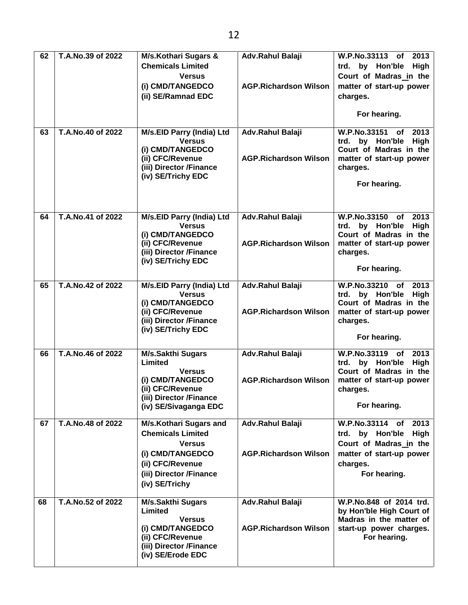| 62 | T.A.No.39 of 2022 | <b>M/s.Kothari Sugars &amp;</b>                           | Adv.Rahul Balaji             | W.P.No.33113<br>2013<br>of                          |
|----|-------------------|-----------------------------------------------------------|------------------------------|-----------------------------------------------------|
|    |                   | <b>Chemicals Limited</b>                                  |                              | trd. by Hon'ble<br>High                             |
|    |                   | <b>Versus</b>                                             |                              | Court of Madras in the                              |
|    |                   | (i) CMD/TANGEDCO                                          | <b>AGP.Richardson Wilson</b> | matter of start-up power                            |
|    |                   | (ii) SE/Ramnad EDC                                        |                              | charges.                                            |
|    |                   |                                                           |                              |                                                     |
|    |                   |                                                           |                              | For hearing.                                        |
| 63 | T.A.No.40 of 2022 | M/s.EID Parry (India) Ltd                                 | Adv.Rahul Balaji             | W.P.No.33151<br>of<br>2013                          |
|    |                   | <b>Versus</b>                                             |                              | trd. by Hon'ble<br>High                             |
|    |                   | (i) CMD/TANGEDCO                                          |                              | Court of Madras in the                              |
|    |                   | (ii) CFC/Revenue<br>(iii) Director /Finance               | <b>AGP.Richardson Wilson</b> | matter of start-up power                            |
|    |                   | (iv) SE/Trichy EDC                                        |                              | charges.                                            |
|    |                   |                                                           |                              | For hearing.                                        |
|    |                   |                                                           |                              |                                                     |
|    |                   |                                                           |                              |                                                     |
| 64 | T.A.No.41 of 2022 | M/s.EID Parry (India) Ltd                                 | Adv.Rahul Balaji             | W.P.No.33150 of<br>2013                             |
|    |                   | <b>Versus</b>                                             |                              | by Hon'ble<br>High<br>trd.                          |
|    |                   | (i) CMD/TANGEDCO<br>(ii) CFC/Revenue                      | <b>AGP.Richardson Wilson</b> | Court of Madras in the<br>matter of start-up power  |
|    |                   | (iii) Director /Finance                                   |                              | charges.                                            |
|    |                   | (iv) SE/Trichy EDC                                        |                              |                                                     |
|    |                   |                                                           |                              | For hearing.                                        |
| 65 | T.A.No.42 of 2022 | M/s.EID Parry (India) Ltd                                 | Adv.Rahul Balaji             | W.P.No.33210 of<br>2013                             |
|    |                   | <b>Versus</b>                                             |                              | High<br>trd. by Hon'ble                             |
|    |                   | (i) CMD/TANGEDCO                                          |                              | Court of Madras in the                              |
|    |                   | (ii) CFC/Revenue                                          | <b>AGP.Richardson Wilson</b> | matter of start-up power                            |
|    |                   | (iii) Director /Finance<br>(iv) SE/Trichy EDC             |                              | charges.                                            |
|    |                   |                                                           |                              | For hearing.                                        |
| 66 | T.A.No.46 of 2022 | <b>M/s.Sakthi Sugars</b>                                  | Adv.Rahul Balaji             | W.P.No.33119<br>2013<br><b>of</b>                   |
|    |                   | Limited                                                   |                              | trd. by Hon'ble<br><b>High</b>                      |
|    |                   | <b>Versus</b>                                             |                              | Court of Madras in the                              |
|    |                   | (i) CMD/TANGEDCO<br>(ii) CFC/Revenue                      | <b>AGP.Richardson Wilson</b> | matter of start-up power<br>charges.                |
|    |                   | (iii) Director /Finance                                   |                              |                                                     |
|    |                   | (iv) SE/Sivaganga EDC                                     |                              | For hearing.                                        |
|    | T.A.No.48 of 2022 |                                                           |                              | W.P.No.33114 of<br>2013                             |
| 67 |                   | <b>M/s.Kothari Sugars and</b><br><b>Chemicals Limited</b> | Adv.Rahul Balaji             | trd. by Hon'ble<br><b>High</b>                      |
|    |                   | <b>Versus</b>                                             |                              | Court of Madras in the                              |
|    |                   | (i) CMD/TANGEDCO                                          | <b>AGP.Richardson Wilson</b> | matter of start-up power                            |
|    |                   | (ii) CFC/Revenue                                          |                              | charges.                                            |
|    |                   | (iii) Director /Finance                                   |                              | For hearing.                                        |
|    |                   | (iv) SE/Trichy                                            |                              |                                                     |
|    |                   |                                                           |                              |                                                     |
| 68 | T.A.No.52 of 2022 | <b>M/s.Sakthi Sugars</b>                                  | Adv.Rahul Balaji             | W.P.No.848 of 2014 trd.                             |
|    |                   | Limited<br><b>Versus</b>                                  |                              | by Hon'ble High Court of<br>Madras in the matter of |
|    |                   | (i) CMD/TANGEDCO                                          | <b>AGP.Richardson Wilson</b> | start-up power charges.                             |
|    |                   | (ii) CFC/Revenue                                          |                              | For hearing.                                        |
|    |                   | (iii) Director /Finance                                   |                              |                                                     |
|    |                   | (iv) SE/Erode EDC                                         |                              |                                                     |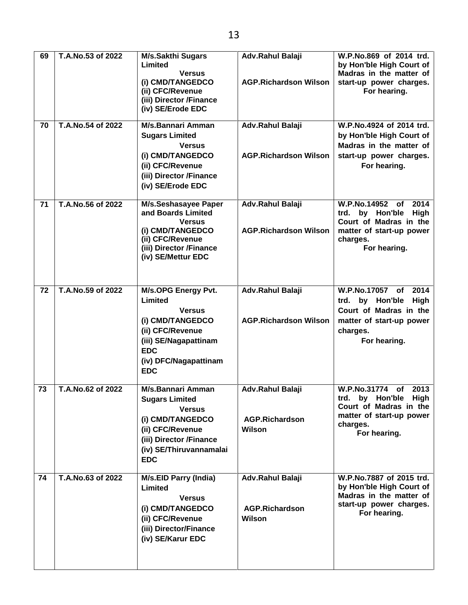| 69 | T.A.No.53 of 2022 | <b>M/s.Sakthi Sugars</b><br>Limited<br><b>Versus</b><br>(i) CMD/TANGEDCO<br>(ii) CFC/Revenue<br>(iii) Director /Finance<br>(iv) SE/Erode EDC                                   | Adv.Rahul Balaji<br><b>AGP.Richardson Wilson</b>           | W.P.No.869 of 2014 trd.<br>by Hon'ble High Court of<br>Madras in the matter of<br>start-up power charges.<br>For hearing.            |
|----|-------------------|--------------------------------------------------------------------------------------------------------------------------------------------------------------------------------|------------------------------------------------------------|--------------------------------------------------------------------------------------------------------------------------------------|
| 70 | T.A.No.54 of 2022 | M/s.Bannari Amman<br><b>Sugars Limited</b><br><b>Versus</b><br>(i) CMD/TANGEDCO<br>(ii) CFC/Revenue<br>(iii) Director /Finance<br>(iv) SE/Erode EDC                            | Adv.Rahul Balaji<br><b>AGP.Richardson Wilson</b>           | W.P.No.4924 of 2014 trd.<br>by Hon'ble High Court of<br>Madras in the matter of<br>start-up power charges.<br>For hearing.           |
| 71 | T.A.No.56 of 2022 | M/s.Seshasayee Paper<br>and Boards Limited<br><b>Versus</b><br>(i) CMD/TANGEDCO<br>(ii) CFC/Revenue<br>(iii) Director /Finance<br>(iv) SE/Mettur EDC                           | Adv.Rahul Balaji<br><b>AGP.Richardson Wilson</b>           | W.P.No.14952 of<br>2014<br>trd. by Hon'ble<br>High<br>Court of Madras in the<br>matter of start-up power<br>charges.<br>For hearing. |
| 72 | T.A.No.59 of 2022 | M/s.OPG Energy Pvt.<br>Limited<br><b>Versus</b><br>(i) CMD/TANGEDCO<br>(ii) CFC/Revenue<br>(iii) SE/Nagapattinam<br><b>EDC</b><br>(iv) DFC/Nagapattinam<br><b>EDC</b>          | Adv.Rahul Balaji<br><b>AGP.Richardson Wilson</b>           | W.P.No.17057 of<br>2014<br>trd. by Hon'ble<br>High<br>Court of Madras in the<br>matter of start-up power<br>charges.<br>For hearing. |
| 73 | T.A.No.62 of 2022 | <b>M/s.Bannari Amman</b><br><b>Sugars Limited</b><br><b>Versus</b><br>(i) CMD/TANGEDCO<br>(ii) CFC/Revenue<br>(iii) Director /Finance<br>(iv) SE/Thiruvannamalai<br><b>EDC</b> | <b>Adv.Rahul Balaji</b><br><b>AGP.Richardson</b><br>Wilson | W.P.No.31774 of 2013<br>trd. by Hon'ble High<br>Court of Madras in the<br>matter of start-up power<br>charges.<br>For hearing.       |
| 74 | T.A.No.63 of 2022 | <b>M/s.EID Parry (India)</b><br>Limited<br><b>Versus</b><br>(i) CMD/TANGEDCO<br>(ii) CFC/Revenue<br>(iii) Director/Finance<br>(iv) SE/Karur EDC                                | Adv.Rahul Balaji<br><b>AGP.Richardson</b><br>Wilson        | W.P.No.7887 of 2015 trd.<br>by Hon'ble High Court of<br>Madras in the matter of<br>start-up power charges.<br>For hearing.           |